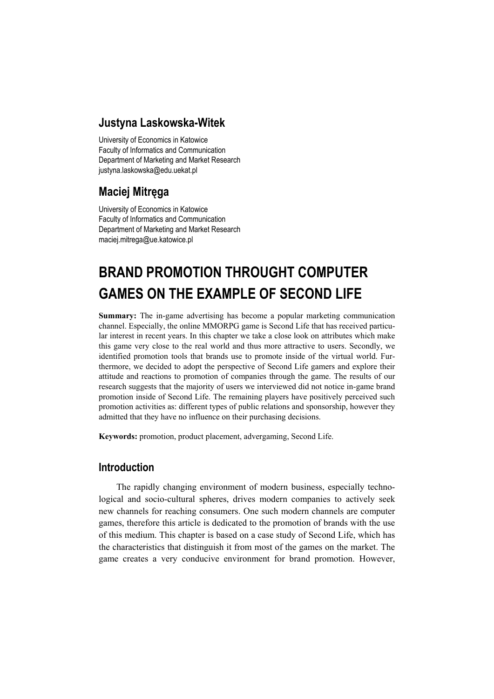### **Justyna Laskowska-Witek**

University of Economics in Katowice Faculty of Informatics and Communication Department of Marketing and Market Research justyna.laskowska@edu.uekat.pl

## **Maciej Mitręga**

University of Economics in Katowice Faculty of Informatics and Communication Department of Marketing and Market Research maciej.mitrega@ue.katowice.pl

# **BRAND PROMOTION THROUGHT COMPUTER GAMES ON THE EXAMPLE OF SECOND LIFE**

**Summary:** The in-game advertising has become a popular marketing communication channel. Especially, the online MMORPG game is Second Life that has received particular interest in recent years. In this chapter we take a close look on attributes which make this game very close to the real world and thus more attractive to users. Secondly, we identified promotion tools that brands use to promote inside of the virtual world. Furthermore, we decided to adopt the perspective of Second Life gamers and explore their attitude and reactions to promotion of companies through the game. The results of our research suggests that the majority of users we interviewed did not notice in-game brand promotion inside of Second Life. The remaining players have positively perceived such promotion activities as: different types of public relations and sponsorship, however they admitted that they have no influence on their purchasing decisions.

**Keywords:** promotion, product placement, advergaming, Second Life.

### **Introduction**

The rapidly changing environment of modern business, especially technological and socio-cultural spheres, drives modern companies to actively seek new channels for reaching consumers. One such modern channels are computer games, therefore this article is dedicated to the promotion of brands with the use of this medium. This chapter is based on a case study of Second Life, which has the characteristics that distinguish it from most of the games on the market. The game creates a very conducive environment for brand promotion. However,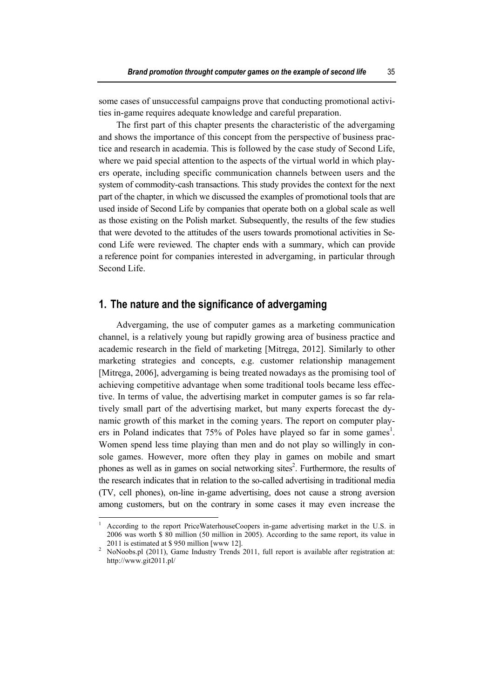some cases of unsuccessful campaigns prove that conducting promotional activities in-game requires adequate knowledge and careful preparation.

The first part of this chapter presents the characteristic of the advergaming and shows the importance of this concept from the perspective of business practice and research in academia. This is followed by the case study of Second Life, where we paid special attention to the aspects of the virtual world in which players operate, including specific communication channels between users and the system of commodity-cash transactions. This study provides the context for the next part of the chapter, in which we discussed the examples of promotional tools that are used inside of Second Life by companies that operate both on a global scale as well as those existing on the Polish market. Subsequently, the results of the few studies that were devoted to the attitudes of the users towards promotional activities in Second Life were reviewed. The chapter ends with a summary, which can provide a reference point for companies interested in advergaming, in particular through Second Life.

### **1. The nature and the significance of advergaming**

Advergaming, the use of computer games as a marketing communication channel, is a relatively young but rapidly growing area of business practice and academic research in the field of marketing [Mitręga, 2012]. Similarly to other marketing strategies and concepts, e.g. customer relationship management [Mitręga, 2006], advergaming is being treated nowadays as the promising tool of achieving competitive advantage when some traditional tools became less effective. In terms of value, the advertising market in computer games is so far relatively small part of the advertising market, but many experts forecast the dynamic growth of this market in the coming years. The report on computer players in Poland indicates that  $75\%$  of Poles have played so far in some games<sup>1</sup>. Women spend less time playing than men and do not play so willingly in console games. However, more often they play in games on mobile and smart phones as well as in games on social networking sites<sup>2</sup>. Furthermore, the results of the research indicates that in relation to the so-called advertising in traditional media (TV, cell phones), on-line in-game advertising, does not cause a strong aversion among customers, but on the contrary in some cases it may even increase the

 $\overline{\phantom{a}}$ 

<sup>1</sup> According to the report PriceWaterhouseCoopers in-game advertising market in the U.S. in 2006 was worth \$ 80 million (50 million in 2005). According to the same report, its value in 2011 is estimated at \$ 950 million [www 12]. 2

NoNoobs.pl (2011), Game Industry Trends 2011, full report is available after registration at: http://www.git2011.pl/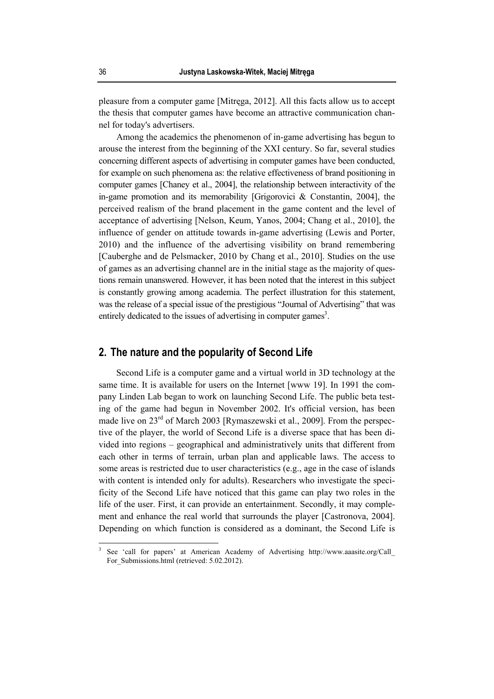pleasure from a computer game [Mitręga, 2012]. All this facts allow us to accept the thesis that computer games have become an attractive communication channel for today's advertisers.

Among the academics the phenomenon of in-game advertising has begun to arouse the interest from the beginning of the XXI century. So far, several studies concerning different aspects of advertising in computer games have been conducted, for example on such phenomena as: the relative effectiveness of brand positioning in computer games [Chaney et al., 2004], the relationship between interactivity of the in-game promotion and its memorability [Grigorovici & Constantin, 2004], the perceived realism of the brand placement in the game content and the level of acceptance of advertising [Nelson, Keum, Yanos, 2004; Chang et al., 2010], the influence of gender on attitude towards in-game advertising (Lewis and Porter, 2010) and the influence of the advertising visibility on brand remembering [Cauberghe and de Pelsmacker, 2010 by Chang et al., 2010]. Studies on the use of games as an advertising channel are in the initial stage as the majority of questions remain unanswered. However, it has been noted that the interest in this subject is constantly growing among academia. The perfect illustration for this statement, was the release of a special issue of the prestigious "Journal of Advertising" that was entirely dedicated to the issues of advertising in computer games<sup>3</sup>.

### **2. The nature and the popularity of Second Life**

Second Life is a computer game and a virtual world in 3D technology at the same time. It is available for users on the Internet [www 19]. In 1991 the company Linden Lab began to work on launching Second Life. The public beta testing of the game had begun in November 2002. It's official version, has been made live on 23<sup>rd</sup> of March 2003 [Rymaszewski et al., 2009]. From the perspective of the player, the world of Second Life is a diverse space that has been divided into regions – geographical and administratively units that different from each other in terms of terrain, urban plan and applicable laws. The access to some areas is restricted due to user characteristics (e.g., age in the case of islands with content is intended only for adults). Researchers who investigate the specificity of the Second Life have noticed that this game can play two roles in the life of the user. First, it can provide an entertainment. Secondly, it may complement and enhance the real world that surrounds the player [Castronova, 2004]. Depending on which function is considered as a dominant, the Second Life is

 $\overline{\phantom{a}}$ 

<sup>3</sup> See 'call for papers' at American Academy of Advertising http://www.aaasite.org/Call\_ For Submissions.html (retrieved: 5.02.2012).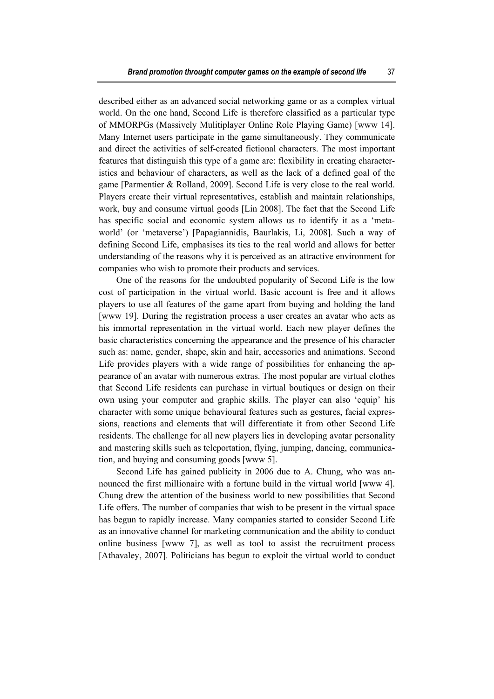described either as an advanced social networking game or as a complex virtual world. On the one hand, Second Life is therefore classified as a particular type of MMORPGs (Massively Mulitiplayer Online Role Playing Game) [www 14]. Many Internet users participate in the game simultaneously. They communicate and direct the activities of self-created fictional characters. The most important features that distinguish this type of a game are: flexibility in creating characteristics and behaviour of characters, as well as the lack of a defined goal of the game [Parmentier & Rolland, 2009]. Second Life is very close to the real world. Players create their virtual representatives, establish and maintain relationships, work, buy and consume virtual goods [Lin 2008]. The fact that the Second Life has specific social and economic system allows us to identify it as a 'metaworld' (or 'metaverse') [Papagiannidis, Baurlakis, Li, 2008]. Such a way of defining Second Life, emphasises its ties to the real world and allows for better understanding of the reasons why it is perceived as an attractive environment for companies who wish to promote their products and services.

One of the reasons for the undoubted popularity of Second Life is the low cost of participation in the virtual world. Basic account is free and it allows players to use all features of the game apart from buying and holding the land [www 19]. During the registration process a user creates an avatar who acts as his immortal representation in the virtual world. Each new player defines the basic characteristics concerning the appearance and the presence of his character such as: name, gender, shape, skin and hair, accessories and animations. Second Life provides players with a wide range of possibilities for enhancing the appearance of an avatar with numerous extras. The most popular are virtual clothes that Second Life residents can purchase in virtual boutiques or design on their own using your computer and graphic skills. The player can also 'equip' his character with some unique behavioural features such as gestures, facial expressions, reactions and elements that will differentiate it from other Second Life residents. The challenge for all new players lies in developing avatar personality and mastering skills such as teleportation, flying, jumping, dancing, communication, and buying and consuming goods [www 5].

Second Life has gained publicity in 2006 due to A. Chung, who was announced the first millionaire with a fortune build in the virtual world [www 4]. Chung drew the attention of the business world to new possibilities that Second Life offers. The number of companies that wish to be present in the virtual space has begun to rapidly increase. Many companies started to consider Second Life as an innovative channel for marketing communication and the ability to conduct online business [www 7], as well as tool to assist the recruitment process [Athavaley, 2007]. Politicians has begun to exploit the virtual world to conduct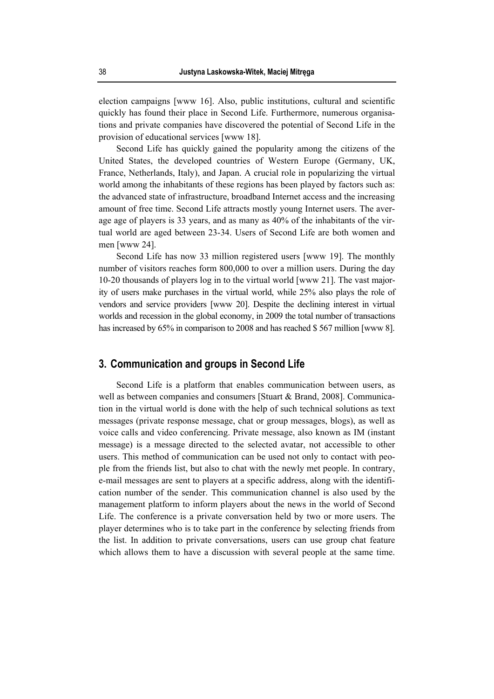election campaigns [www 16]. Also, public institutions, cultural and scientific quickly has found their place in Second Life. Furthermore, numerous organisations and private companies have discovered the potential of Second Life in the provision of educational services [www 18].

Second Life has quickly gained the popularity among the citizens of the United States, the developed countries of Western Europe (Germany, UK, France, Netherlands, Italy), and Japan. A crucial role in popularizing the virtual world among the inhabitants of these regions has been played by factors such as: the advanced state of infrastructure, broadband Internet access and the increasing amount of free time. Second Life attracts mostly young Internet users. The average age of players is 33 years, and as many as 40% of the inhabitants of the virtual world are aged between 23-34. Users of Second Life are both women and men [www 24].

Second Life has now 33 million registered users [www 19]. The monthly number of visitors reaches form 800,000 to over a million users. During the day 10-20 thousands of players log in to the virtual world [www 21]. The vast majority of users make purchases in the virtual world, while 25% also plays the role of vendors and service providers [www 20]. Despite the declining interest in virtual worlds and recession in the global economy, in 2009 the total number of transactions has increased by 65% in comparison to 2008 and has reached \$567 million [www 8].

### **3. Communication and groups in Second Life**

Second Life is a platform that enables communication between users, as well as between companies and consumers [Stuart & Brand, 2008]. Communication in the virtual world is done with the help of such technical solutions as text messages (private response message, chat or group messages, blogs), as well as voice calls and video conferencing. Private message, also known as IM (instant message) is a message directed to the selected avatar, not accessible to other users. This method of communication can be used not only to contact with people from the friends list, but also to chat with the newly met people. In contrary, e-mail messages are sent to players at a specific address, along with the identification number of the sender. This communication channel is also used by the management platform to inform players about the news in the world of Second Life. The conference is a private conversation held by two or more users. The player determines who is to take part in the conference by selecting friends from the list. In addition to private conversations, users can use group chat feature which allows them to have a discussion with several people at the same time.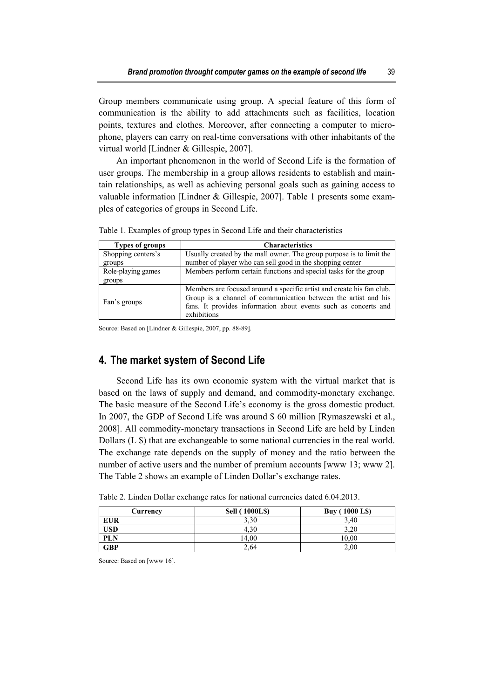Group members communicate using group. A special feature of this form of communication is the ability to add attachments such as facilities, location points, textures and clothes. Moreover, after connecting a computer to microphone, players can carry on real-time conversations with other inhabitants of the virtual world [Lindner & Gillespie, 2007].

An important phenomenon in the world of Second Life is the formation of user groups. The membership in a group allows residents to establish and maintain relationships, as well as achieving personal goals such as gaining access to valuable information [Lindner & Gillespie, 2007]. Table 1 presents some examples of categories of groups in Second Life.

| <b>Types of groups</b> | <b>Characteristics</b>                                                                                                                                                                                                    |
|------------------------|---------------------------------------------------------------------------------------------------------------------------------------------------------------------------------------------------------------------------|
| Shopping centers's     | Usually created by the mall owner. The group purpose is to limit the                                                                                                                                                      |
| groups                 | number of player who can sell good in the shopping center                                                                                                                                                                 |
| Role-playing games     | Members perform certain functions and special tasks for the group                                                                                                                                                         |
| groups                 |                                                                                                                                                                                                                           |
| Fan's groups           | Members are focused around a specific artist and create his fan club.<br>Group is a channel of communication between the artist and his<br>fans. It provides information about events such as concerts and<br>exhibitions |

Table 1. Examples of group types in Second Life and their characteristics

Source: Based on [Lindner & Gillespie, 2007, pp. 88-89].

# **4. The market system of Second Life**

Second Life has its own economic system with the virtual market that is based on the laws of supply and demand, and commodity-monetary exchange. The basic measure of the Second Life's economy is the gross domestic product. In 2007, the GDP of Second Life was around \$ 60 million [Rymaszewski et al., 2008]. All commodity-monetary transactions in Second Life are held by Linden Dollars (L \$) that are exchangeable to some national currencies in the real world. The exchange rate depends on the supply of money and the ratio between the number of active users and the number of premium accounts [www 13; www 2]. The Table 2 shows an example of Linden Dollar's exchange rates.

| Currencv   | <b>Sell (1000LS)</b> | <b>Buy (1000 LS)</b> |
|------------|----------------------|----------------------|
| <b>EUR</b> | 3.30                 | 3.40                 |
| USD        | 4.30                 | 3.20                 |
| <b>PLN</b> | 14.00                | 10,00                |
| GBP        | 2.64                 | 2,00                 |

Table 2. Linden Dollar exchange rates for national currencies dated 6.04.2013.

Source: Based on [www 16].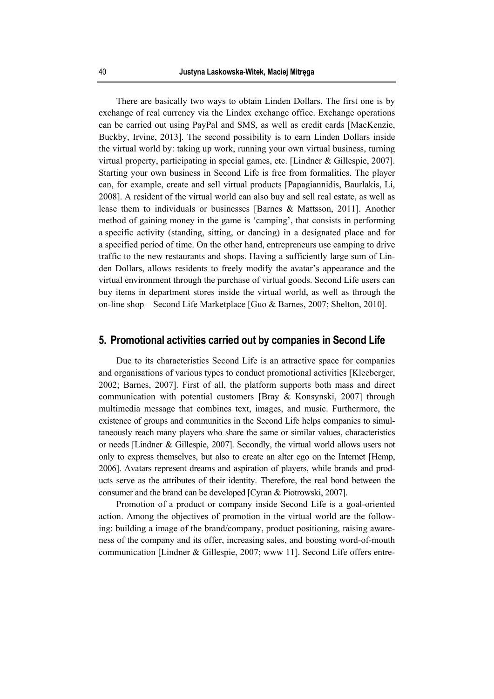There are basically two ways to obtain Linden Dollars. The first one is by exchange of real currency via the Lindex exchange office. Exchange operations can be carried out using PayPal and SMS, as well as credit cards [MacKenzie, Buckby, Irvine, 2013]. The second possibility is to earn Linden Dollars inside the virtual world by: taking up work, running your own virtual business, turning virtual property, participating in special games, etc. [Lindner & Gillespie, 2007]. Starting your own business in Second Life is free from formalities. The player can, for example, create and sell virtual products [Papagiannidis, Baurlakis, Li, 2008]. A resident of the virtual world can also buy and sell real estate, as well as lease them to individuals or businesses [Barnes & Mattsson, 2011]. Another method of gaining money in the game is 'camping', that consists in performing a specific activity (standing, sitting, or dancing) in a designated place and for a specified period of time. On the other hand, entrepreneurs use camping to drive traffic to the new restaurants and shops. Having a sufficiently large sum of Linden Dollars, allows residents to freely modify the avatar's appearance and the virtual environment through the purchase of virtual goods. Second Life users can buy items in department stores inside the virtual world, as well as through the on-line shop – Second Life Marketplace [Guo & Barnes, 2007; Shelton, 2010].

### **5. Promotional activities carried out by companies in Second Life**

Due to its characteristics Second Life is an attractive space for companies and organisations of various types to conduct promotional activities [Kleeberger, 2002; Barnes, 2007]. First of all, the platform supports both mass and direct communication with potential customers [Bray & Konsynski, 2007] through multimedia message that combines text, images, and music. Furthermore, the existence of groups and communities in the Second Life helps companies to simultaneously reach many players who share the same or similar values, characteristics or needs [Lindner & Gillespie, 2007]. Secondly, the virtual world allows users not only to express themselves, but also to create an alter ego on the Internet [Hemp, 2006]. Avatars represent dreams and aspiration of players, while brands and products serve as the attributes of their identity. Therefore, the real bond between the consumer and the brand can be developed [Cyran & Piotrowski, 2007].

Promotion of a product or company inside Second Life is a goal-oriented action. Among the objectives of promotion in the virtual world are the following: building a image of the brand/company, product positioning, raising awareness of the company and its offer, increasing sales, and boosting word-of-mouth communication [Lindner & Gillespie, 2007; www 11]. Second Life offers entre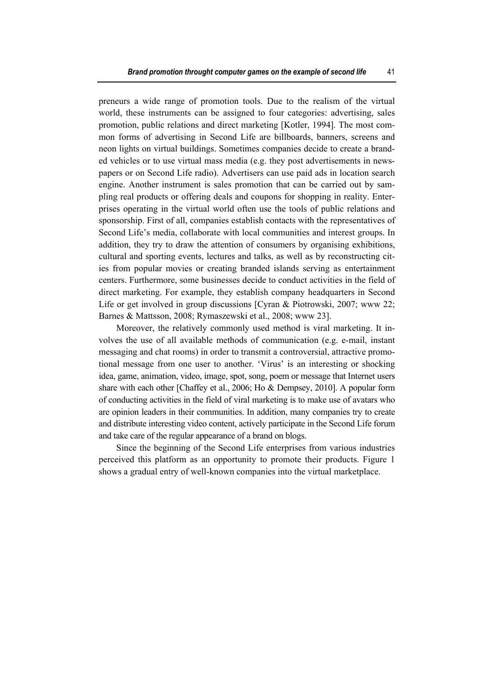preneurs a wide range of promotion tools. Due to the realism of the virtual world, these instruments can be assigned to four categories: advertising, sales promotion, public relations and direct marketing [Kotler, 1994]. The most common forms of advertising in Second Life are billboards, banners, screens and neon lights on virtual buildings. Sometimes companies decide to create a branded vehicles or to use virtual mass media (e.g. they post advertisements in newspapers or on Second Life radio). Advertisers can use paid ads in location search engine. Another instrument is sales promotion that can be carried out by sampling real products or offering deals and coupons for shopping in reality. Enterprises operating in the virtual world often use the tools of public relations and sponsorship. First of all, companies establish contacts with the representatives of Second Life's media, collaborate with local communities and interest groups. In addition, they try to draw the attention of consumers by organising exhibitions, cultural and sporting events, lectures and talks, as well as by reconstructing cities from popular movies or creating branded islands serving as entertainment centers. Furthermore, some businesses decide to conduct activities in the field of direct marketing. For example, they establish company headquarters in Second Life or get involved in group discussions [Cyran & Piotrowski, 2007; www 22; Barnes & Mattsson, 2008; Rymaszewski et al., 2008; www 23].

Moreover, the relatively commonly used method is viral marketing. It involves the use of all available methods of communication (e.g. e-mail, instant messaging and chat rooms) in order to transmit a controversial, attractive promotional message from one user to another. 'Virus' is an interesting or shocking idea, game, animation, video, image, spot, song, poem or message that Internet users share with each other [Chaffey et al., 2006; Ho & Dempsey, 2010]. A popular form of conducting activities in the field of viral marketing is to make use of avatars who are opinion leaders in their communities. In addition, many companies try to create and distribute interesting video content, actively participate in the Second Life forum and take care of the regular appearance of a brand on blogs.

Since the beginning of the Second Life enterprises from various industries perceived this platform as an opportunity to promote their products. Figure 1 shows a gradual entry of well-known companies into the virtual marketplace.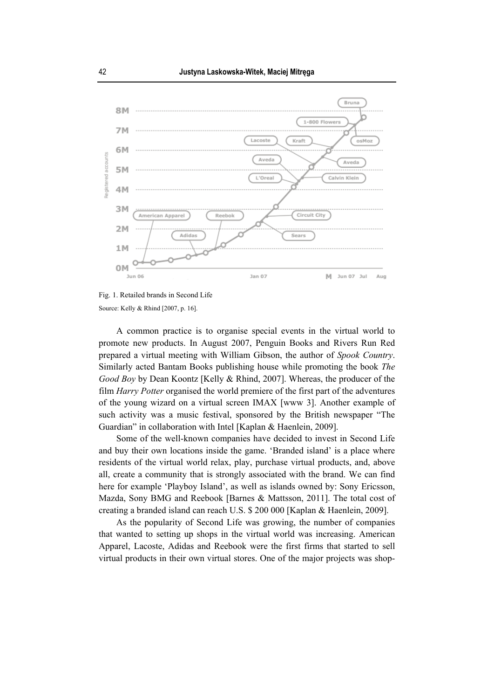

Fig. 1. Retailed brands in Second Life Source: Kelly & Rhind [2007, p. 16].

A common practice is to organise special events in the virtual world to promote new products. In August 2007, Penguin Books and Rivers Run Red prepared a virtual meeting with William Gibson, the author of *Spook Country*. Similarly acted Bantam Books publishing house while promoting the book *The Good Boy* by Dean Koontz [Kelly & Rhind, 2007]. Whereas, the producer of the film *Harry Potter* organised the world premiere of the first part of the adventures of the young wizard on a virtual screen IMAX [www 3]. Another example of such activity was a music festival, sponsored by the British newspaper "The Guardian" in collaboration with Intel [Kaplan & Haenlein, 2009].

Some of the well-known companies have decided to invest in Second Life and buy their own locations inside the game. 'Branded island' is a place where residents of the virtual world relax, play, purchase virtual products, and, above all, create a community that is strongly associated with the brand. We can find here for example 'Playboy Island', as well as islands owned by: Sony Ericsson, Mazda, Sony BMG and Reebook [Barnes & Mattsson, 2011]. The total cost of creating a branded island can reach U.S. \$ 200 000 [Kaplan & Haenlein, 2009].

As the popularity of Second Life was growing, the number of companies that wanted to setting up shops in the virtual world was increasing. American Apparel, Lacoste, Adidas and Reebook were the first firms that started to sell virtual products in their own virtual stores. One of the major projects was shop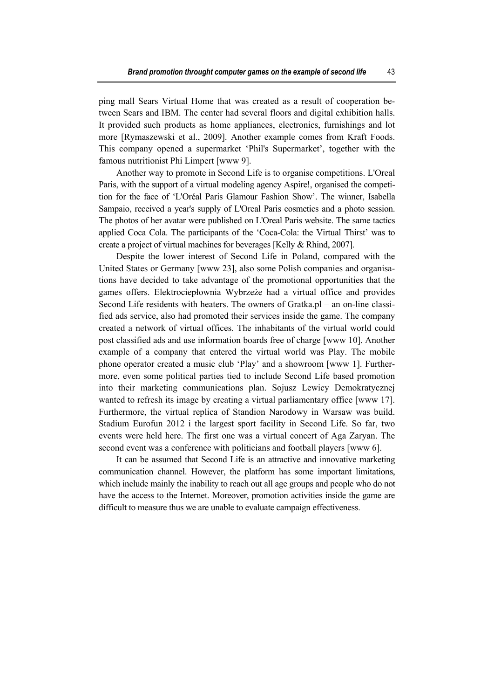ping mall Sears Virtual Home that was created as a result of cooperation between Sears and IBM. The center had several floors and digital exhibition halls. It provided such products as home appliances, electronics, furnishings and lot more [Rymaszewski et al., 2009]. Another example comes from Kraft Foods. This company opened a supermarket 'Phil's Supermarket', together with the famous nutritionist Phi Limpert [www 9].

Another way to promote in Second Life is to organise competitions. L'Oreal Paris, with the support of a virtual modeling agency Aspire!, organised the competition for the face of 'L'Oréal Paris Glamour Fashion Show'. The winner, Isabella Sampaio, received a year's supply of L'Oreal Paris cosmetics and a photo session. The photos of her avatar were published on L'Oreal Paris website. The same tactics applied Coca Cola. The participants of the 'Coca-Cola: the Virtual Thirst' was to create a project of virtual machines for beverages [Kelly & Rhind, 2007].

Despite the lower interest of Second Life in Poland, compared with the United States or Germany [www 23], also some Polish companies and organisations have decided to take advantage of the promotional opportunities that the games offers. Elektrociepłownia Wybrzeże had a virtual office and provides Second Life residents with heaters. The owners of Gratka.pl – an on-line classified ads service, also had promoted their services inside the game. The company created a network of virtual offices. The inhabitants of the virtual world could post classified ads and use information boards free of charge [www 10]. Another example of a company that entered the virtual world was Play. The mobile phone operator created a music club 'Play' and a showroom [www 1]. Furthermore, even some political parties tied to include Second Life based promotion into their marketing communications plan. Sojusz Lewicy Demokratycznej wanted to refresh its image by creating a virtual parliamentary office [www 17]. Furthermore, the virtual replica of Standion Narodowy in Warsaw was build. Stadium Eurofun 2012 i the largest sport facility in Second Life. So far, two events were held here. The first one was a virtual concert of Aga Zaryan. The second event was a conference with politicians and football players [www 6].

It can be assumed that Second Life is an attractive and innovative marketing communication channel. However, the platform has some important limitations, which include mainly the inability to reach out all age groups and people who do not have the access to the Internet. Moreover, promotion activities inside the game are difficult to measure thus we are unable to evaluate campaign effectiveness.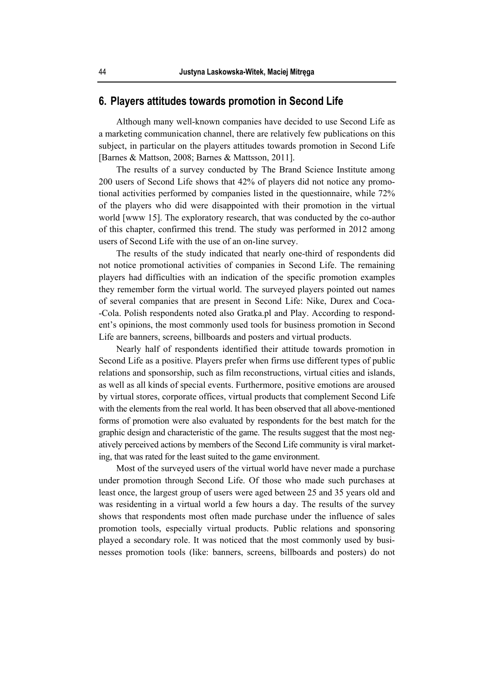### **6. Players attitudes towards promotion in Second Life**

Although many well-known companies have decided to use Second Life as a marketing communication channel, there are relatively few publications on this subject, in particular on the players attitudes towards promotion in Second Life [Barnes & Mattson, 2008; Barnes & Mattsson, 2011].

The results of a survey conducted by The Brand Science Institute among 200 users of Second Life shows that 42% of players did not notice any promotional activities performed by companies listed in the questionnaire, while 72% of the players who did were disappointed with their promotion in the virtual world [www 15]. The exploratory research, that was conducted by the co-author of this chapter, confirmed this trend. The study was performed in 2012 among users of Second Life with the use of an on-line survey.

The results of the study indicated that nearly one-third of respondents did not notice promotional activities of companies in Second Life. The remaining players had difficulties with an indication of the specific promotion examples they remember form the virtual world. The surveyed players pointed out names of several companies that are present in Second Life: Nike, Durex and Coca- -Cola. Polish respondents noted also Gratka.pl and Play. According to respondent's opinions, the most commonly used tools for business promotion in Second Life are banners, screens, billboards and posters and virtual products.

Nearly half of respondents identified their attitude towards promotion in Second Life as a positive. Players prefer when firms use different types of public relations and sponsorship, such as film reconstructions, virtual cities and islands, as well as all kinds of special events. Furthermore, positive emotions are aroused by virtual stores, corporate offices, virtual products that complement Second Life with the elements from the real world. It has been observed that all above-mentioned forms of promotion were also evaluated by respondents for the best match for the graphic design and characteristic of the game. The results suggest that the most negatively perceived actions by members of the Second Life community is viral marketing, that was rated for the least suited to the game environment.

Most of the surveyed users of the virtual world have never made a purchase under promotion through Second Life. Of those who made such purchases at least once, the largest group of users were aged between 25 and 35 years old and was residenting in a virtual world a few hours a day. The results of the survey shows that respondents most often made purchase under the influence of sales promotion tools, especially virtual products. Public relations and sponsoring played a secondary role. It was noticed that the most commonly used by businesses promotion tools (like: banners, screens, billboards and posters) do not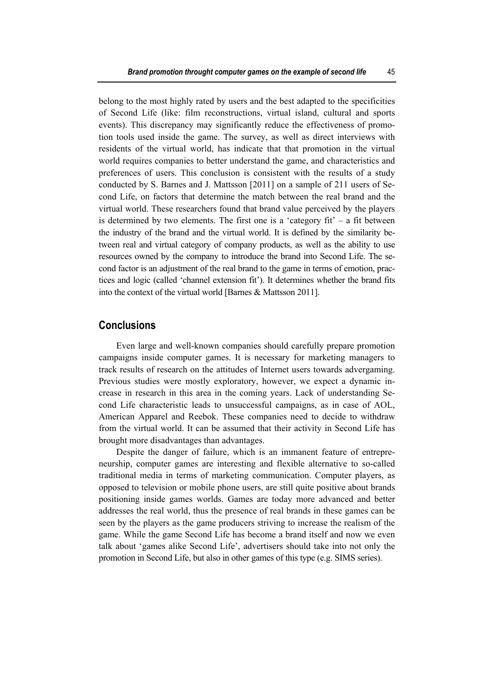belong to the most highly rated by users and the best adapted to the specificities of Second Life (like: film reconstructions, virtual island, cultural and sports events). This discrepancy may significantly reduce the effectiveness of promotion tools used inside the game. The survey, as well as direct interviews with residents of the virtual world, has indicate that that promotion in the virtual world requires companies to better understand the game, and characteristics and preferences of users. This conclusion is consistent with the results of a study conducted by S. Barnes and J. Mattsson [2011] on a sample of 211 users of Second Life, on factors that determine the match between the real brand and the virtual world. These researchers found that brand value perceived by the players is determined by two elements. The first one is a 'category  $fit' - a$  fit between the industry of the brand and the virtual world. It is defined by the similarity between real and virtual category of company products, as well as the ability to use resources owned by the company to introduce the brand into Second Life. The second factor is an adjustment of the real brand to the game in terms of emotion, practices and logic (called 'channel extension fit'). It determines whether the brand fits into the context of the virtual world [Barnes & Mattsson 2011].

### **Conclusions**

Even large and well-known companies should carefully prepare promotion campaigns inside computer games. It is necessary for marketing managers to track results of research on the attitudes of Internet users towards advergaming. Previous studies were mostly exploratory, however, we expect a dynamic increase in research in this area in the coming years. Lack of understanding Second Life characteristic leads to unsuccessful campaigns, as in case of AOL, American Apparel and Reebok. These companies need to decide to withdraw from the virtual world. It can be assumed that their activity in Second Life has brought more disadvantages than advantages.

Despite the danger of failure, which is an immanent feature of entrepreneurship, computer games are interesting and flexible alternative to so-called traditional media in terms of marketing communication. Computer players, as opposed to television or mobile phone users, are still quite positive about brands positioning inside games worlds. Games are today more advanced and better addresses the real world, thus the presence of real brands in these games can be seen by the players as the game producers striving to increase the realism of the game. While the game Second Life has become a brand itself and now we even talk about 'games alike Second Life', advertisers should take into not only the promotion in Second Life, but also in other games of this type (e.g. SIMS series).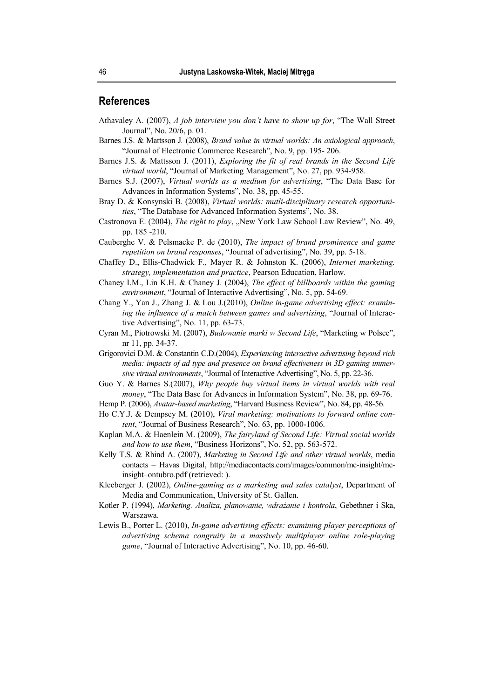### **References**

- Athavaley A. (2007), *A job interview you don't have to show up for*, "The Wall Street Journal", No. 20/6, p. 01.
- Barnes J.S. & Mattsson J*.* (2008), *Brand value in virtual worlds: An axiological approach*, "Journal of Electronic Commerce Research", No. 9, pp. 195- 206.
- Barnes J.S. & Mattsson J. (2011), *Exploring the fit of real brands in the Second Life virtual world*, "Journal of Marketing Management", No. 27, pp. 934-958.
- Barnes S.J. (2007), *Virtual worlds as a medium for advertising*, "The Data Base for Advances in Information Systems", No. 38, pp. 45-55.
- Bray D. & Konsynski B. (2008), *Virtual worlds: mutli-disciplinary research opportunities*, "The Database for Advanced Information Systems", No. 38.
- Castronova E. (2004), *The right to play*, "New York Law School Law Review", No. 49, pp. 185 -210.
- Cauberghe V. & Pelsmacke P. de (2010), *The impact of brand prominence and game repetition on brand responses*, "Journal of advertising", No. 39, pp. 5-18.
- Chaffey D., Ellis-Chadwick F., Mayer R. & Johnston K. (2006), *Internet marketing. strategy, implementation and practice*, Pearson Education, Harlow.
- Chaney I.M., Lin K.H. & Chaney J. (2004), *The effect of billboards within the gaming environment*, "Journal of Interactive Advertising", No. 5, pp. 54-69.
- Chang Y., Yan J., Zhang J. & Lou J.(2010), *Online in-game advertising effect: examining the influence of a match between games and advertising*, "Journal of Interactive Advertising", No. 11, pp. 63-73.
- Cyran M., Piotrowski M. (2007), *Budowanie marki w Second Life*, "Marketing w Polsce", nr 11, pp. 34-37.
- Grigorovici D.M. & Constantin C.D.(2004), *Experiencing interactive advertising beyond rich media: impacts of ad type and presence on brand effectiveness in 3D gaming immersive virtual environments*, "Journal of Interactive Advertising", No. 5, pp. 22-36.
- Guo Y. & Barnes S.(2007), *Why people buy virtual items in virtual worlds with real money*, "The Data Base for Advances in Information System", No. 38, pp. 69-76.
- Hemp P. (2006), *Avatar-based marketing*, "Harvard Business Review", No. 84, pp. 48-56.
- Ho C.Y.J. & Dempsey M. (2010), *Viral marketing: motivations to forward online content*, "Journal of Business Research", No. 63, pp. 1000-1006.
- Kaplan M.A. & Haenlein M. (2009), *The fairyland of Second Life: Virtual social worlds and how to use them*, "Business Horizons", No. 52, pp. 563-572.
- Kelly T.S. & Rhind A. (2007), *Marketing in Second Life and other virtual worlds*, media contacts – Havas Digital, http://mediacontacts.com/images/common/mc-insight/mcinsight–ontubro.pdf (retrieved: ).
- Kleeberger J. (2002), *Online-gaming as a marketing and sales catalyst*, Department of Media and Communication, University of St. Gallen.
- Kotler P. (1994), *Marketing. Analiza, planowanie, wdrażanie i kontrola*, Gebethner i Ska, Warszawa.
- Lewis B., Porter L. (2010), *In-game advertising effects: examining player perceptions of advertising schema congruity in a massively multiplayer online role-playing game*, "Journal of Interactive Advertising", No. 10, pp. 46-60.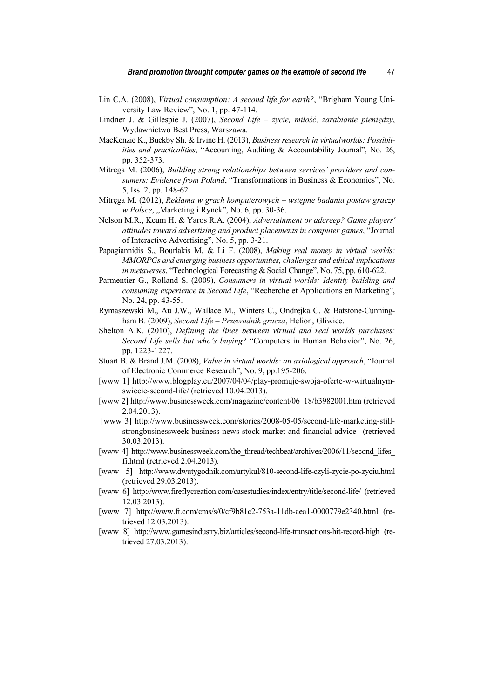- Lin C.A. (2008), *Virtual consumption: A second life for earth?*, "Brigham Young University Law Review", No. 1, pp. 47-114.
- Lindner J. & Gillespie J. (2007), *Second Life życie, miłość, zarabianie pieniędzy*, Wydawnictwo Best Press, Warszawa.
- MacKenzie K., Buckby Sh. & Irvine H. (2013), *Business research in virtualworlds: Possibilities and practicalities*, "Accounting, Auditing & Accountability Journal", No. 26, pp. 352-373.
- Mitrega M. (2006), *Building strong relationships between services' providers and consumers: Evidence from Poland*, "Transformations in Business & Economics", No. 5, Iss. 2, pp. 148-62.
- Mitręga M. (2012), *Reklama w grach komputerowych wstępne badania postaw graczy w Polsce*, "Marketing i Rynek", No. 6, pp. 30-36.
- Nelson M.R., Keum H. & Yaros R.A. (2004), *Advertainment or adcreep? Game players' attitudes toward advertising and product placements in computer games*, "Journal of Interactive Advertising", No. 5, pp. 3-21.
- Papagiannidis S., Bourlakis M. & Li F. (2008), *Making real money in virtual worlds: MMORPGs and emerging business opportunities, challenges and ethical implications in metaverses*, "Technological Forecasting & Social Change", No. 75, pp. 610-622.
- Parmentier G., Rolland S. (2009), *Consumers in virtual worlds: Identity building and consuming experience in Second Life*, "Recherche et Applications en Marketing", No. 24, pp. 43-55.
- Rymaszewski M., Au J.W., Wallace M., Winters C., Ondrejka C. & Batstone-Cunningham B. (2009), *Second Life – Przewodnik gracza*, Helion, Gliwice.
- Shelton A.K. (2010), *Defining the lines between virtual and real worlds purchases: Second Life sells but who's buying?* "Computers in Human Behavior", No. 26, pp. 1223-1227.
- Stuart B. & Brand J.M. (2008), *Value in virtual worlds: an axiological approach*, "Journal of Electronic Commerce Research", No. 9, pp.195-206.
- [www 1] http://www.blogplay.eu/2007/04/04/play-promuje-swoja-oferte-w-wirtualnymswiecie-second-life/ (retrieved 10.04.2013).
- [www 2] http://www.businessweek.com/magazine/content/06\_18/b3982001.htm (retrieved 2.04.2013).
- [www 3] http://www.businessweek.com/stories/2008-05-05/second-life-marketing-stillstrongbusinessweek-business-news-stock-market-and-financial-advice (retrieved 30.03.2013).
- [www 4] http://www.businessweek.com/the\_thread/techbeat/archives/2006/11/second\_lifes fi.html (retrieved 2.04.2013).
- [www 5] http://www.dwutygodnik.com/artykul/810-second-life-czyli-zycie-po-zyciu.html (retrieved 29.03.2013).
- [www 6] http://www.fireflycreation.com/casestudies/index/entry/title/second-life/ (retrieved 12.03.2013).
- [www 7] http://www.ft.com/cms/s/0/cf9b81c2-753a-11db-aea1-0000779e2340.html (retrieved 12.03.2013).
- [www 8] http://www.gamesindustry.biz/articles/second-life-transactions-hit-record-high (retrieved 27.03.2013).